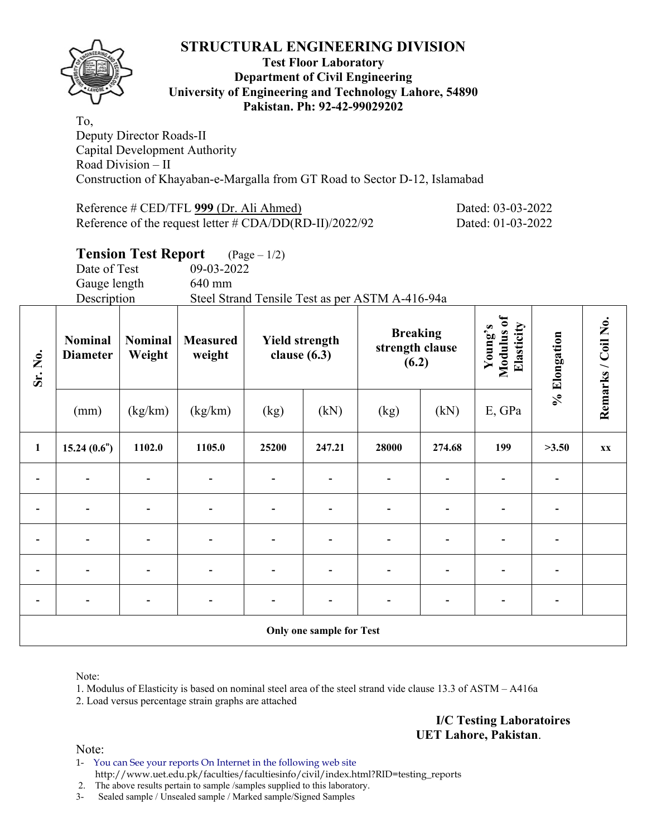

#### **Test Floor Laboratory Department of Civil Engineering University of Engineering and Technology Lahore, 54890 Pakistan. Ph: 92-42-99029202**

To, Deputy Director Roads-II Capital Development Authority Road Division – II Construction of Khayaban-e-Margalla from GT Road to Sector D-12, Islamabad

Reference # CED/TFL **999** (Dr. Ali Ahmed) Dated: 03-03-2022 Reference of the request letter # CDA/DD(RD-II)/2022/92 Dated: 01-03-2022

# **Tension Test Report** (Page – 1/2)

Date of Test 09-03-2022 Gauge length 640 mm

Description Steel Strand Tensile Test as per ASTM A-416-94a

| Sr. No.      | <b>Nominal</b><br><b>Diameter</b> | <b>Nominal</b><br>Weight | <b>Measured</b><br>weight | <b>Yield strength</b><br>clause $(6.3)$ |                          | <b>Breaking</b><br>strength clause<br>(6.2) |                | Modulus of<br>Elasticity<br>Young's | % Elongation | Remarks / Coil No. |
|--------------|-----------------------------------|--------------------------|---------------------------|-----------------------------------------|--------------------------|---------------------------------------------|----------------|-------------------------------------|--------------|--------------------|
|              | (mm)                              | (kg/km)                  | (kg/km)                   | (kg)                                    | (kN)                     | (kg)                                        | (kN)           | E, GPa                              |              |                    |
| $\mathbf{1}$ | 15.24(0.6")                       | 1102.0                   | 1105.0                    | 25200                                   | 247.21                   | 28000                                       | 274.68         | 199                                 | >3.50        | XX                 |
|              |                                   |                          |                           |                                         |                          |                                             |                |                                     |              |                    |
|              |                                   |                          |                           |                                         |                          |                                             |                |                                     |              |                    |
|              |                                   |                          | -                         |                                         |                          |                                             |                |                                     |              |                    |
|              |                                   |                          | $\overline{a}$            | ۰                                       |                          | $\blacksquare$                              | $\blacksquare$ | $\blacksquare$                      |              |                    |
|              |                                   |                          | $\blacksquare$            |                                         |                          | $\overline{\phantom{0}}$                    | $\blacksquare$ | $\overline{\phantom{0}}$            | ۰            |                    |
|              |                                   |                          |                           |                                         | Only one sample for Test |                                             |                |                                     |              |                    |

Note:

1. Modulus of Elasticity is based on nominal steel area of the steel strand vide clause 13.3 of ASTM – A416a

2. Load versus percentage strain graphs are attached

**I/C Testing Laboratoires UET Lahore, Pakistan**.

Note:

1- You can See your reports On Internet in the following web site http://www.uet.edu.pk/faculties/facultiesinfo/civil/index.html?RID=testing\_reports

2. The above results pertain to sample /samples supplied to this laboratory.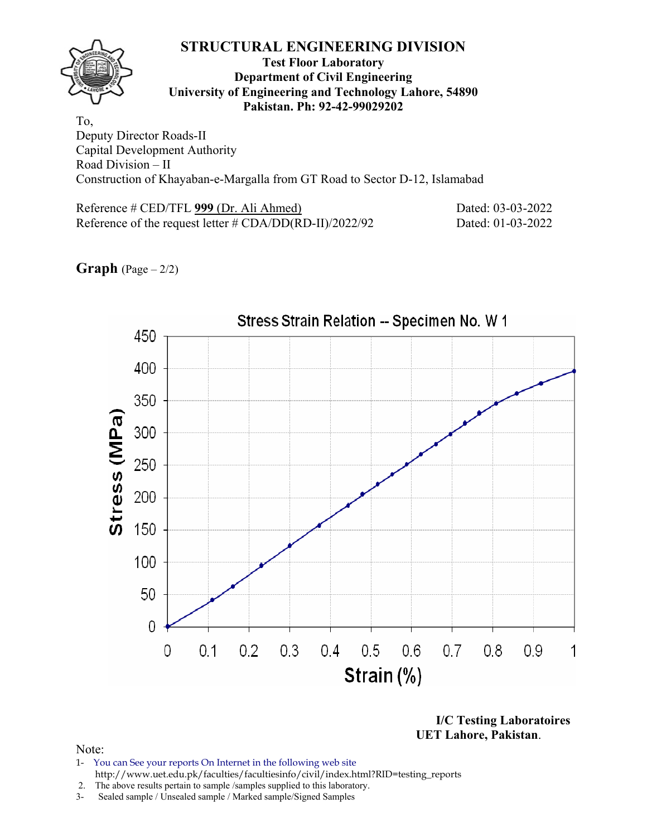#### **Test Floor Laboratory Department of Civil Engineering University of Engineering and Technology Lahore, 54890 Pakistan. Ph: 92-42-99029202**

To, Deputy Director Roads-II Capital Development Authority Road Division – II Construction of Khayaban-e-Margalla from GT Road to Sector D-12, Islamabad

Reference # CED/TFL **999** (Dr. Ali Ahmed) Dated: 03-03-2022 Reference of the request letter # CDA/DD(RD-II)/2022/92 Dated: 01-03-2022





**I/C Testing Laboratoires UET Lahore, Pakistan**.

- 1- You can See your reports On Internet in the following web site http://www.uet.edu.pk/faculties/facultiesinfo/civil/index.html?RID=testing\_reports
- 2. The above results pertain to sample /samples supplied to this laboratory.
- 3- Sealed sample / Unsealed sample / Marked sample/Signed Samples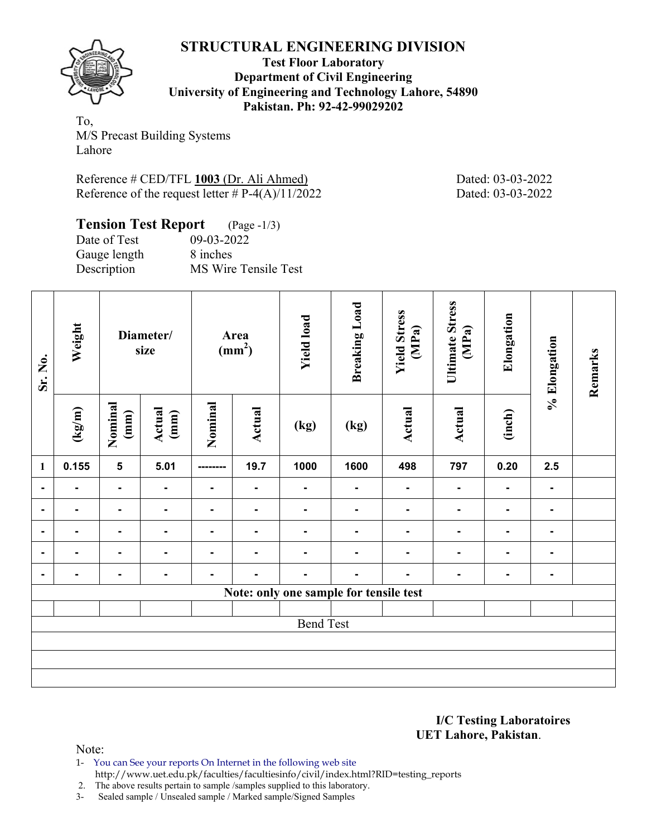

**Test Floor Laboratory Department of Civil Engineering University of Engineering and Technology Lahore, 54890 Pakistan. Ph: 92-42-99029202** 

To, M/S Precast Building Systems Lahore

Reference # CED/TFL **1003** (Dr. Ali Ahmed) Dated: 03-03-2022 Reference of the request letter  $# P-4(A)/11/2022$  Dated: 03-03-2022

| <b>Tension Test Report</b> (Page -1/3) |                      |
|----------------------------------------|----------------------|
| Date of Test                           | 09-03-2022           |
| Gauge length                           | 8 inches             |
| Description                            | MS Wire Tensile Test |

| Sr. No.                  | Weight<br>Diameter/<br>size |                 | Area<br>(mm <sup>2</sup> ) |                | <b>Yield load</b> | <b>Breaking Load</b>                   | <b>Yield Stress</b><br>(MPa) | <b>Ultimate Stress</b><br>(MPa) | Elongation     | % Elongation   | Remarks        |  |
|--------------------------|-----------------------------|-----------------|----------------------------|----------------|-------------------|----------------------------------------|------------------------------|---------------------------------|----------------|----------------|----------------|--|
|                          | (kg/m)                      | Nominal<br>(mm) | Actual<br>(mm)             | Nominal        | <b>Actual</b>     | (kg)                                   | (kg)                         | <b>Actual</b>                   | Actual         | (inch)         |                |  |
| $\mathbf{1}$             | 0.155                       | $5\phantom{a}$  | 5.01                       | --------       | 19.7              | 1000                                   | 1600                         | 498                             | 797            | 0.20           | 2.5            |  |
| $\blacksquare$           |                             | $\blacksquare$  | $\overline{\phantom{0}}$   | $\blacksquare$ | $\blacksquare$    | $\blacksquare$                         | $\blacksquare$               | $\blacksquare$                  | $\blacksquare$ | $\blacksquare$ | $\blacksquare$ |  |
| $\blacksquare$           |                             | $\blacksquare$  | $\blacksquare$             |                | $\blacksquare$    | $\blacksquare$                         | $\blacksquare$               | $\blacksquare$                  | $\blacksquare$ | $\blacksquare$ | ۰              |  |
| $\overline{\phantom{0}}$ |                             | $\blacksquare$  | $\blacksquare$             | ٠.             | $\blacksquare$    | $\blacksquare$                         | $\blacksquare$               | $\blacksquare$                  | $\blacksquare$ | $\blacksquare$ | ٠              |  |
|                          |                             | Ξ.              | $\blacksquare$             | $\blacksquare$ |                   |                                        |                              |                                 |                | $\blacksquare$ | ۰              |  |
| ۰.                       |                             | $\blacksquare$  | $\blacksquare$             |                |                   |                                        | ۰                            |                                 |                | $\blacksquare$ | ۰.             |  |
|                          |                             |                 |                            |                |                   | Note: only one sample for tensile test |                              |                                 |                |                |                |  |
|                          |                             |                 |                            |                |                   |                                        |                              |                                 |                |                |                |  |
|                          |                             |                 |                            |                |                   | <b>Bend Test</b>                       |                              |                                 |                |                |                |  |
|                          |                             |                 |                            |                |                   |                                        |                              |                                 |                |                |                |  |
|                          |                             |                 |                            |                |                   |                                        |                              |                                 |                |                |                |  |
|                          |                             |                 |                            |                |                   |                                        |                              |                                 |                |                |                |  |

**I/C Testing Laboratoires UET Lahore, Pakistan**.

- 1- You can See your reports On Internet in the following web site http://www.uet.edu.pk/faculties/facultiesinfo/civil/index.html?RID=testing\_reports
- 2. The above results pertain to sample /samples supplied to this laboratory.
- 3- Sealed sample / Unsealed sample / Marked sample/Signed Samples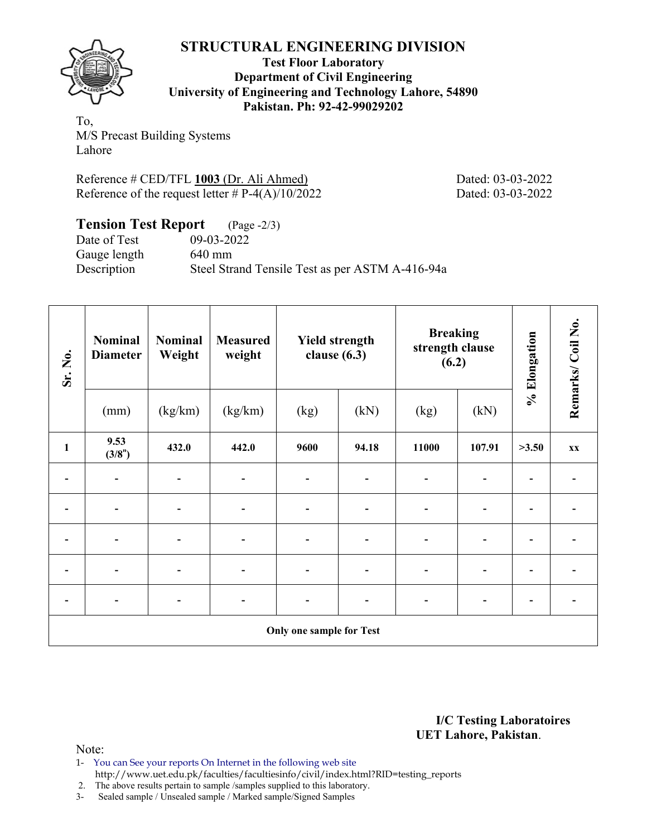

**Test Floor Laboratory Department of Civil Engineering University of Engineering and Technology Lahore, 54890 Pakistan. Ph: 92-42-99029202** 

To, M/S Precast Building Systems Lahore

Reference # CED/TFL **1003** (Dr. Ali Ahmed) Dated: 03-03-2022 Reference of the request letter  $# P-4(A)/10/2022$  Dated: 03-03-2022

**Tension Test Report** (Page -2/3) Date of Test 09-03-2022 Gauge length 640 mm Description Steel Strand Tensile Test as per ASTM A-416-94a

| Sr. No.      | <b>Nominal</b><br><b>Diameter</b> | <b>Nominal</b><br>Weight | <b>Measured</b><br>weight    | <b>Yield strength</b><br>clause $(6.3)$ |       | <b>Breaking</b><br>strength clause<br>(6.2) |                          | % Elongation | Remarks/Coil No.        |
|--------------|-----------------------------------|--------------------------|------------------------------|-----------------------------------------|-------|---------------------------------------------|--------------------------|--------------|-------------------------|
|              | (mm)                              | (kg/km)                  | (kg/km)                      | (kg)                                    | (kN)  | (kg)                                        | (kN)                     |              |                         |
| $\mathbf{1}$ | 9.53<br>(3/8")                    | 432.0                    | 442.0                        | 9600                                    | 94.18 | 11000                                       | 107.91                   | >3.50        | $\mathbf{X} \mathbf{X}$ |
|              |                                   |                          |                              |                                         |       |                                             |                          |              |                         |
|              |                                   |                          | $\qquad \qquad \blacksquare$ |                                         | ۳     | $\overline{a}$                              | $\overline{\phantom{0}}$ |              |                         |
|              |                                   |                          | $\overline{\phantom{0}}$     |                                         |       |                                             | $\overline{\phantom{0}}$ |              |                         |
|              |                                   |                          | ٠                            |                                         |       | $\overline{\phantom{0}}$                    | $\overline{\phantom{0}}$ |              |                         |
|              |                                   |                          | -                            |                                         |       |                                             | -                        |              |                         |
|              |                                   |                          |                              | <b>Only one sample for Test</b>         |       |                                             |                          |              |                         |

**I/C Testing Laboratoires UET Lahore, Pakistan**.

- 1- You can See your reports On Internet in the following web site http://www.uet.edu.pk/faculties/facultiesinfo/civil/index.html?RID=testing\_reports
- 2. The above results pertain to sample /samples supplied to this laboratory.
- 3- Sealed sample / Unsealed sample / Marked sample/Signed Samples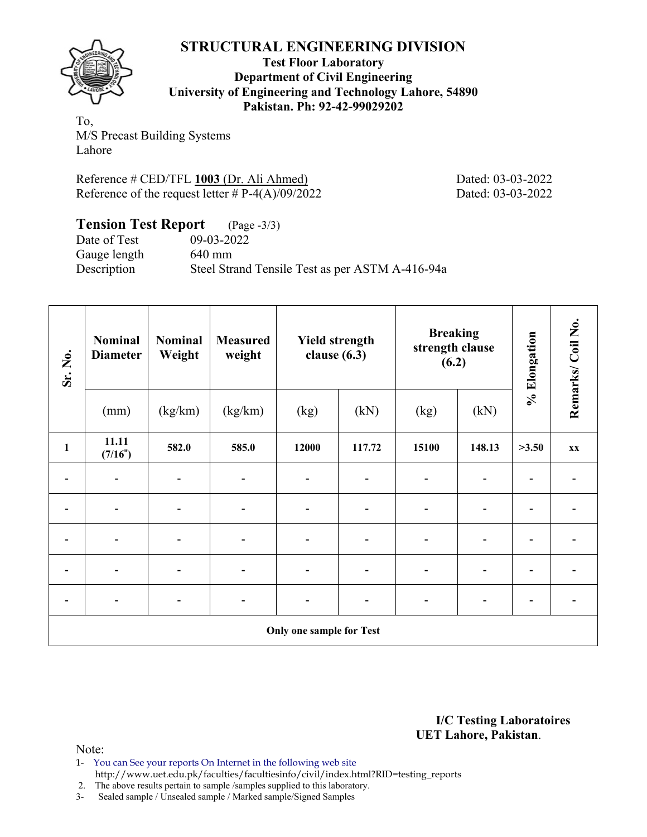

**Test Floor Laboratory Department of Civil Engineering University of Engineering and Technology Lahore, 54890 Pakistan. Ph: 92-42-99029202** 

To, M/S Precast Building Systems Lahore

Reference # CED/TFL **1003** (Dr. Ali Ahmed) Dated: 03-03-2022 Reference of the request letter  $# P-4(A)/09/2022$  Dated: 03-03-2022

**Tension Test Report** (Page -3/3) Date of Test 09-03-2022 Gauge length 640 mm Description Steel Strand Tensile Test as per ASTM A-416-94a

| Sr. No.      | <b>Nominal</b><br><b>Diameter</b> | <b>Nominal</b><br>Weight | <b>Measured</b><br>weight    | <b>Yield strength</b><br>clause $(6.3)$ |                          | <b>Breaking</b><br>strength clause<br>(6.2) |                          | % Elongation | Remarks/Coil No.        |
|--------------|-----------------------------------|--------------------------|------------------------------|-----------------------------------------|--------------------------|---------------------------------------------|--------------------------|--------------|-------------------------|
|              | (mm)                              | (kg/km)                  | (kg/km)                      | (kg)                                    | (kN)                     | (kg)                                        | (kN)                     |              |                         |
| $\mathbf{1}$ | 11.11<br>(7/16")                  | 582.0                    | 585.0                        | 12000                                   | 117.72                   | 15100                                       | 148.13                   | >3.50        | $\mathbf{X} \mathbf{X}$ |
|              |                                   |                          |                              |                                         |                          |                                             |                          |              |                         |
|              |                                   |                          | $\qquad \qquad \blacksquare$ |                                         | $\overline{\phantom{0}}$ | $\overline{a}$                              | $\overline{\phantom{0}}$ |              |                         |
|              |                                   |                          | $\overline{\phantom{0}}$     |                                         |                          |                                             | $\overline{\phantom{0}}$ |              |                         |
|              |                                   |                          | ٠                            |                                         |                          | $\overline{\phantom{0}}$                    | $\overline{\phantom{0}}$ |              |                         |
|              |                                   |                          | -                            |                                         |                          |                                             | -                        |              |                         |
|              |                                   |                          |                              | <b>Only one sample for Test</b>         |                          |                                             |                          |              |                         |

**I/C Testing Laboratoires UET Lahore, Pakistan**.

Note:

1- You can See your reports On Internet in the following web site http://www.uet.edu.pk/faculties/facultiesinfo/civil/index.html?RID=testing\_reports

2. The above results pertain to sample /samples supplied to this laboratory.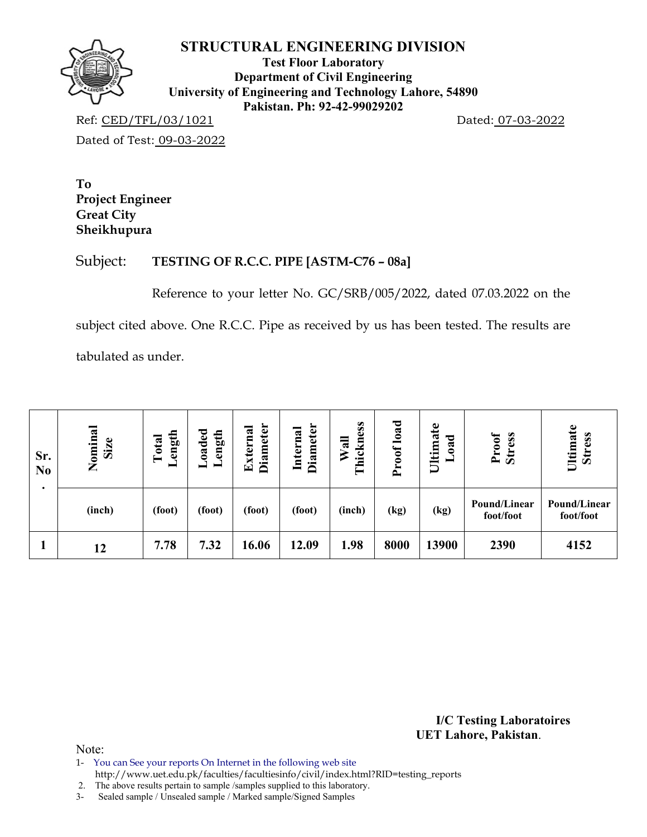

**Test Floor Laboratory Department of Civil Engineering University of Engineering and Technology Lahore, 54890 Pakistan. Ph: 92-42-99029202** 

Ref: CED/TFL/03/1021 Dated: 07-03-2022 Dated of Test: 09-03-2022

**To Project Engineer Great City Sheikhupura** 

## Subject: **TESTING OF R.C.C. PIPE [ASTM-C76 – 08a]**

Reference to your letter No. GC/SRB/005/2022, dated 07.03.2022 on the

subject cited above. One R.C.C. Pipe as received by us has been tested. The results are

tabulated as under.

| Sr.<br>N <sub>0</sub> | Nominal<br>Size | ength<br>Total<br>▬ | oaded.<br>ength<br>۰ | <b>Diameter</b><br>xterna<br>덕 | <b>Diameter</b><br>Internal | hickness<br>$W$ all<br>⊨ | Proof load | Ultimate<br>ರ<br>$\ddot{\mathbf{a}}$<br>━ | <b>Stress</b><br>Proof    | Ultimate<br><b>Stress</b> |
|-----------------------|-----------------|---------------------|----------------------|--------------------------------|-----------------------------|--------------------------|------------|-------------------------------------------|---------------------------|---------------------------|
|                       | (inch)          | (foot)              | (foot)               | (foot)                         | (foot)                      | (inch)                   | (kg)       | (kg)                                      | Pound/Linear<br>foot/foot | Pound/Linear<br>foot/foot |
|                       | 12              | 7.78                | 7.32                 | 16.06                          | 12.09                       | 1.98                     | 8000       | 13900                                     | 2390                      | 4152                      |

**I/C Testing Laboratoires UET Lahore, Pakistan**.

Note:

1- You can See your reports On Internet in the following web site http://www.uet.edu.pk/faculties/facultiesinfo/civil/index.html?RID=testing\_reports

2. The above results pertain to sample /samples supplied to this laboratory.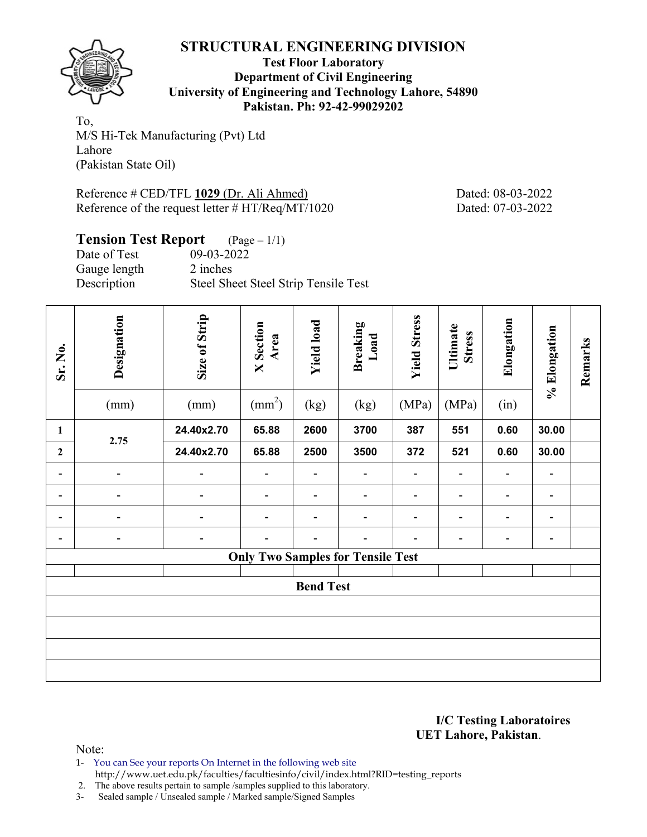

**Test Floor Laboratory Department of Civil Engineering University of Engineering and Technology Lahore, 54890 Pakistan. Ph: 92-42-99029202** 

To, M/S Hi-Tek Manufacturing (Pvt) Ltd Lahore (Pakistan State Oil)

Reference # CED/TFL **1029** (Dr. Ali Ahmed) Dated: 08-03-2022 Reference of the request letter # HT/Req/MT/1020 Dated: 07-03-2022

## **Tension Test Report** (Page – 1/1)

| Date of Test | 09-03-2022                           |
|--------------|--------------------------------------|
| Gauge length | 2 inches                             |
| Description  | Steel Sheet Steel Strip Tensile Test |

| Sr. No.                  | Designation<br>(mm)          | Size of Strip<br><b>Yield load</b><br><b>X</b> Section<br><b>Breaking</b><br>Area<br>$\text{(mm}^2)$<br>(kg)<br>(mm)<br>(kg) |       | Load                     | <b>Yield Stress</b><br>(MPa)             | Ultimate<br><b>Stress</b><br>(MPa) | Elongation<br>(in) | % Elongation   | Remarks                      |  |
|--------------------------|------------------------------|------------------------------------------------------------------------------------------------------------------------------|-------|--------------------------|------------------------------------------|------------------------------------|--------------------|----------------|------------------------------|--|
| $\mathbf{1}$             |                              | 24.40x2.70                                                                                                                   | 65.88 | 2600                     | 3700                                     | 387                                | 551                | 0.60           | 30.00                        |  |
| $\overline{2}$           | 2.75                         | 24.40x2.70                                                                                                                   | 65.88 | 2500                     | 3500                                     | 372                                | 521                | 0.60           | 30.00                        |  |
| $\overline{\phantom{0}}$ |                              |                                                                                                                              |       | $\overline{\phantom{0}}$ | $\overline{\phantom{0}}$                 |                                    |                    | $\overline{a}$ | $\overline{\phantom{0}}$     |  |
|                          |                              |                                                                                                                              |       |                          |                                          |                                    |                    | $\overline{a}$ | $\overline{\phantom{a}}$     |  |
|                          |                              | $\overline{\phantom{0}}$                                                                                                     |       |                          | $\overline{\phantom{0}}$                 |                                    |                    |                |                              |  |
| $\overline{\phantom{0}}$ | $\qquad \qquad \blacksquare$ | $\overline{\phantom{0}}$                                                                                                     |       | -                        | $\overline{\phantom{0}}$                 |                                    |                    | $\overline{a}$ | $\qquad \qquad \blacksquare$ |  |
|                          |                              |                                                                                                                              |       |                          | <b>Only Two Samples for Tensile Test</b> |                                    |                    |                |                              |  |
|                          |                              |                                                                                                                              |       | <b>Bend Test</b>         |                                          |                                    |                    |                |                              |  |
|                          |                              |                                                                                                                              |       |                          |                                          |                                    |                    |                |                              |  |
|                          |                              |                                                                                                                              |       |                          |                                          |                                    |                    |                |                              |  |

#### **I/C Testing Laboratoires UET Lahore, Pakistan**.

Note:

1- You can See your reports On Internet in the following web site http://www.uet.edu.pk/faculties/facultiesinfo/civil/index.html?RID=testing\_reports

2. The above results pertain to sample /samples supplied to this laboratory.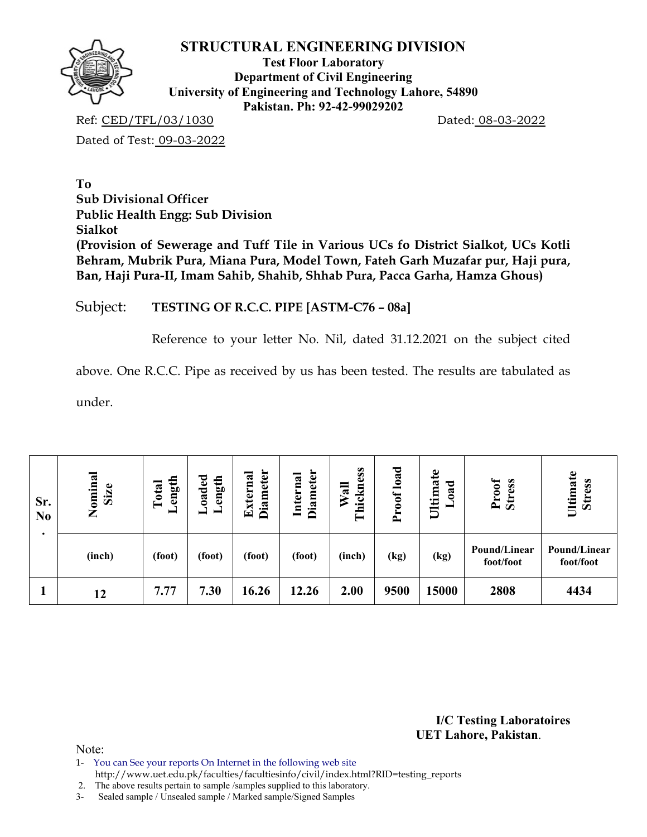

**Test Floor Laboratory Department of Civil Engineering University of Engineering and Technology Lahore, 54890 Pakistan. Ph: 92-42-99029202** 

Ref: CED/TFL/03/1030 Dated: 08-03-2022

Dated of Test: 09-03-2022

**To Sub Divisional Officer Public Health Engg: Sub Division Sialkot (Provision of Sewerage and Tuff Tile in Various UCs fo District Sialkot, UCs Kotli Behram, Mubrik Pura, Miana Pura, Model Town, Fateh Garh Muzafar pur, Haji pura, Ban, Haji Pura-II, Imam Sahib, Shahib, Shhab Pura, Pacca Garha, Hamza Ghous)** 

## Subject: **TESTING OF R.C.C. PIPE [ASTM-C76 – 08a]**

Reference to your letter No. Nil, dated 31.12.2021 on the subject cited

above. One R.C.C. Pipe as received by us has been tested. The results are tabulated as

under.

| Sr.<br>N <sub>0</sub> | Nominal<br>Size | ength<br>Total<br>━ | oaded.<br>ength | <b>Diameter</b><br>Externa | <b>Diameter</b><br>Internal | ickness<br>Wall<br>⊨ | load<br>roof<br>$\sim$ | Ultimate<br>ರ<br>$\mathbf{a}$ | Proof<br><b>Stress</b>    | Ultimate<br><b>Stress</b> |
|-----------------------|-----------------|---------------------|-----------------|----------------------------|-----------------------------|----------------------|------------------------|-------------------------------|---------------------------|---------------------------|
|                       | (inch)          | (foot)              | (foot)          | (foot)                     | (foot)                      | (inch)               | (kg)                   | (kg)                          | Pound/Linear<br>foot/foot | Pound/Linear<br>foot/foot |
|                       | 12              | 7.77                | 7.30            | 16.26                      | 12.26                       | 2.00                 | 9500                   | 15000                         | 2808                      | 4434                      |

**I/C Testing Laboratoires UET Lahore, Pakistan**.

- 1- You can See your reports On Internet in the following web site
- http://www.uet.edu.pk/faculties/facultiesinfo/civil/index.html?RID=testing\_reports
- 2. The above results pertain to sample /samples supplied to this laboratory.
- 3- Sealed sample / Unsealed sample / Marked sample/Signed Samples